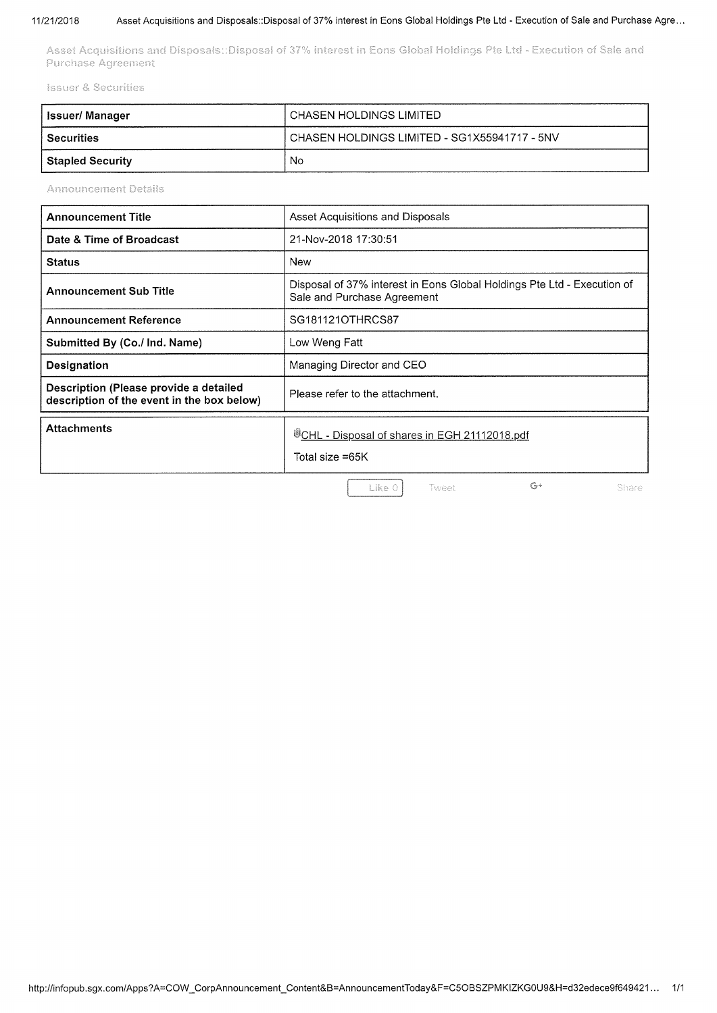### 11/21/2018 Asset Acquisitions and Disposals::Disposal of 37% interest in Eons Global Holdings Pte Ltd - Execution of Sale and Purchase Agre...

Asset Acquisitions and Disposals::Disposal of 37% interest in Eons Global Holdings Pte Ltd - Execution of Sale and Purchase Agreement

**Issuer & Securities** 

| lssuer/ Manager         | ' CHASEN HOLDINGS LIMITED                      |
|-------------------------|------------------------------------------------|
| <b>Securities</b>       | ' CHASEN HOLDINGS LIMITED - SG1X55941717 - 5NV |
| <b>Stapled Security</b> | No.                                            |

**Announcement Details** 

| <b>Announcement Title</b>                                                            | Asset Acquisitions and Disposals                                                                       |  |  |
|--------------------------------------------------------------------------------------|--------------------------------------------------------------------------------------------------------|--|--|
| Date & Time of Broadcast                                                             | 21-Nov-2018 17:30:51                                                                                   |  |  |
| <b>Status</b>                                                                        | New                                                                                                    |  |  |
| <b>Announcement Sub Title</b>                                                        | Disposal of 37% interest in Eons Global Holdings Pte Ltd - Execution of<br>Sale and Purchase Agreement |  |  |
| <b>Announcement Reference</b>                                                        | SG181121OTHRCS87                                                                                       |  |  |
| Submitted By (Co./ Ind. Name)                                                        | Low Weng Fatt                                                                                          |  |  |
| Designation                                                                          | Managing Director and CEO                                                                              |  |  |
| Description (Please provide a detailed<br>description of the event in the box below) | Please refer to the attachment.                                                                        |  |  |
| <b>Attachments</b>                                                                   | <sup>UD</sup> CHL - Disposal of shares in EGH 21112018.pdf<br>Total size =65K                          |  |  |
|                                                                                      | $G+$<br>Like 0<br>Share<br>Tweet                                                                       |  |  |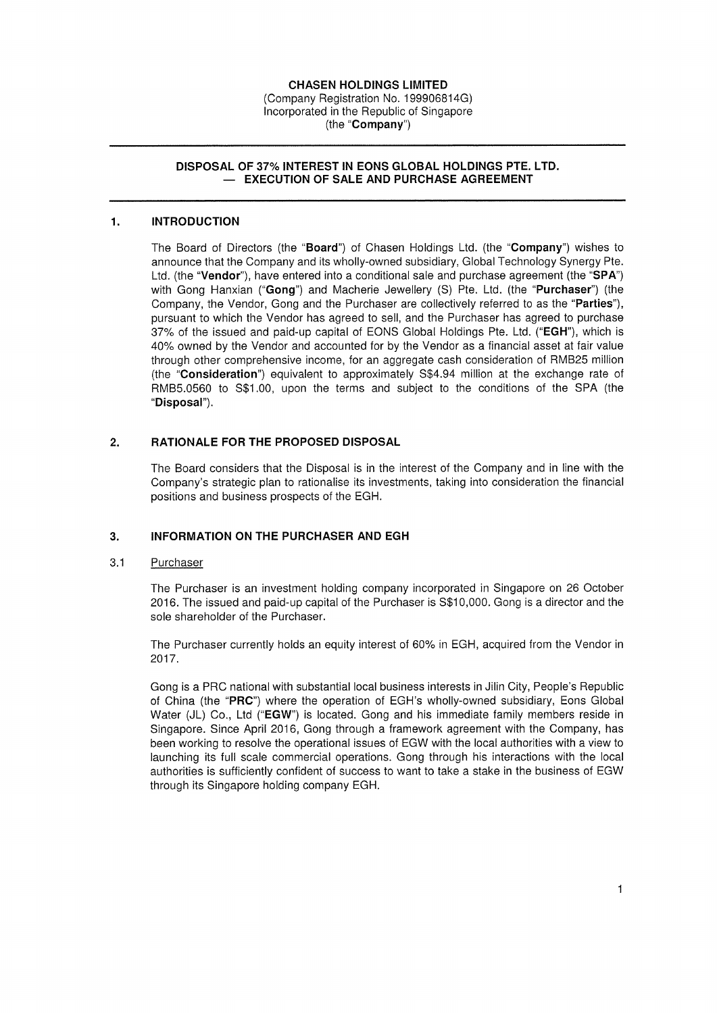### CHASEN HOLDINGS LIMITED

(Company Registration No. I 99906814G) Incorporated in the Republic of Singapore (the "Company")

### DISPOSAL OF 37% INTEREST IN EONS GLOBAL HOLDINGS PTE. LTD. - EXECUTION OF SALE AND PURCHASE AGREEMENT

### I. INTRODUCTION

The Board of Directors (the "Board") of Chasen Holdings Ltd. (the "Company") wishes to announce that the Company and its wholly-owned subsidiary, Global Technology Synergy Pte. Ltd. (the "Vendor"), have entered into a conditional sale and purchase agreement (the "SPA") with Gong Hanxian ("Gong") and Macherie Jewellery (S) Pte. Ltd. (the "Purchaser") (the Company, the Vendor, Gong and the Purchaser are collectively referred to as the "Parties"), pursuant to which the Vendor has agreed to sell, and the Purchaser has agreed to purchase 37% of the issued and paid-up capital of EONS Global Holdings Pte. Ltd. ("EGH"), which is 40% owned by the Vendor and accounted for by the Vendor as a financial asset at fair value through other comprehensive income, for an aggregate cash consideration of RMB25 million (the "Consideration") equivalent to approximately S\$4.94 million at the exchange rate of RMB5.0560 to S\$1.00, upon the terms and subject to the conditions of the SPA (the "Disposal").

## 2. RATIONALE FOR THE PROPOSED DISPOSAL

The Board considers that the Disposal is in the interest of the Company and in line with the Company's strategic plan to rationalise its investments, taking into consideration the financial positions and business prospects of the EGH.

### 3. INFORMATION ON THE PURCHASER AND EGH

#### 3.1 **Purchaser**

The Purchaser is an investment holding company incorporated in Singapore on 26 October 2016. The issued and paid-up capital of the Purchaser is S\$10,000. Gong is a director and the sole shareholder of the Purchaser.

The Purchaser currently holds an equity interest of 60% in EGH, acquired from the Vendor in 2017.

Gong is a PRC national with substantial local business interests in Jilin City, People's Republic of China (the "PRC") where the operation of EGH's wholly-owned subsidiary, Eons Global Water (JL) Co., Ltd ("EGW") is located. Gong and his immediate family members reside in Singapore. Since April 2016, Gong through a framework agreement with the Company, has been working to resolve the operational issues of EGW with the local authorities with a view to launching its full scale commercial operations. Gong through his interactions with the local authorities is sufficiently confident of success to want to take a stake in the business of EGW through its Singapore holding company EGH.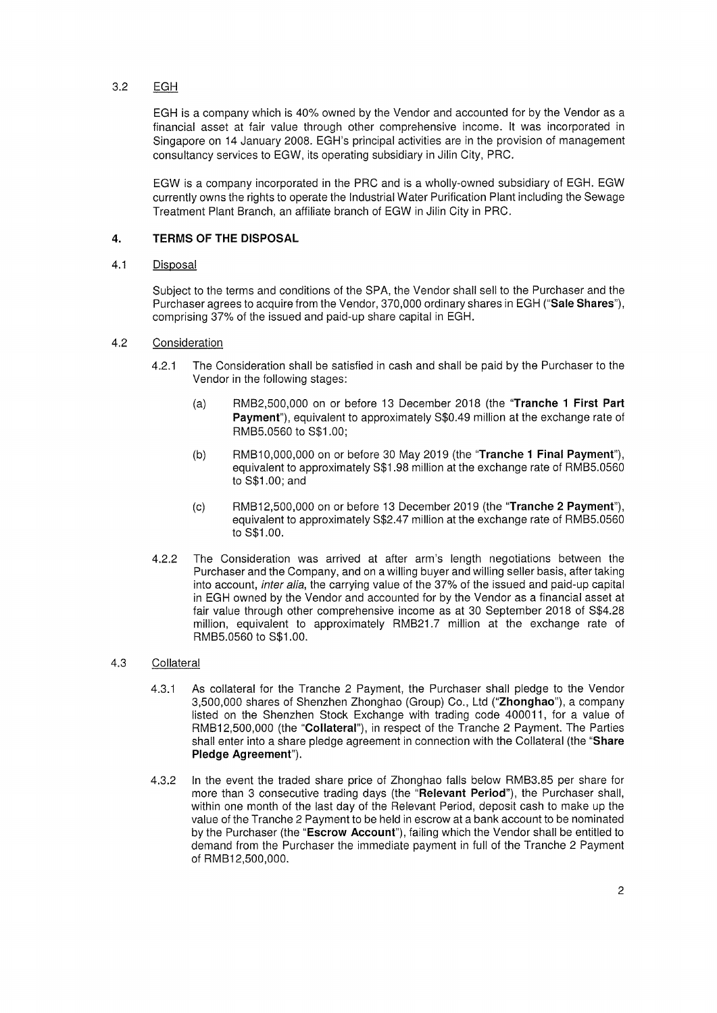# 3.2 EGH

EGH is a company which is 40% owned by the Vendor and accounted for by the Vendor as a financial asset at fair value through other comprehensive income. It was incorporated in Singapore on 14 January 2008. EGH's principal activities are in the provision of management consultancy services to EGW, its operating subsidiary in Jilin City, PRC.

EGW is a company incorporated in the PRC and is a wholly-owned subsidiary of EGH. EGW currently owns the rights to operate the Industrial Water Purification Plant including the Sewage Treatment Plant Branch, an affiliate branch of EGW in Jilin City in PRC.

#### 4. TERMS OF THE DISPOSAL

#### 4.1 Disposal

Subject to the terms and conditions of the SPA, the Vendor shall sell to the Purchaser and the Purchaser agrees to acquire from the Vendor, 370,000 ordinary shares in EGH ("Sale Shares"), comprising 37% of the issued and paid-up share capital in EGH.

### 4.2 Consideration

- 4.21 The Consideration shall be satisfied in cash and shall be paid by the Purchaser to the Vendor in the following stages:
	- (a) RMB2,500,000 on or before 13 December 2018 (the "Tranche I First Part Payment"), equivalent to approximately S\$0.49 million at the exchange rate of RMB5.0560 to S\$1.00;
	- (b) RMB10,000,000 on or before 30 May 2019 (the "Tranche 1 Final Payment"), equivalent to approximately S\$1.98 million at the exchange rate of RMB5.0560 to S\$1.00; and
	- (c) RMB12,500,000 on or before 13 December 2019 (the "Tranche 2 Payment"), equivalent to approximately S\$2.47 million at the exchange rate of RMB5.0560 to S\$1.00.
- The Consideration was arrived at after arm's length negotiations between the Purchaser and the Company, and on a willing buyer and willing seller basis, after taking into account, *inter alia*, the carrying value of the 37% of the issued and paid-up capital in EGH owned by the Vendor and accounted for by the Vendor as a financial asset at fair value through other comprehensive income as at 30 September 2018 of S\$4.28 million, equivalent to approximately RMB21.7 million at the exchange rate of RMB5.0560 to S\$1.00. 4.22

### 4.3 Collateral

- 43.1 As collateral for the Tranche 2 Payment, the Purchaser shall pledge to the Vendor 3,500,000 shares of Shenzhen Zhonghao (Group) Co. , Ltd ("Zhonghao"), a company listed on the Shenzhen Stock Exchange with trading code 400011, for a value of RMB12,500,000 (the "Collateral"), in respect of the Tranche 2 Payment. The Parties shall enter into a share pledge agreement in connection with the Collateral (the "Share Pledge Agreement").
- In the event the traded share price of Zhonghao falls below RMB3.85 per share for more than 3 consecutive trading days (the "Relevant Period"), the Purchaser shall, within one month of the last day of the Relevant Period, deposit cash to make up the value of the Tranche 2 Payment to be held in escrow at a bank account to be nominated by the Purchaser (the "Escrow Account"), failing which the Vendor shall be entitled to demand from the Purchaser the immediate payment in full of the Tranche 2 Payment of RMB12,500,000. 4.32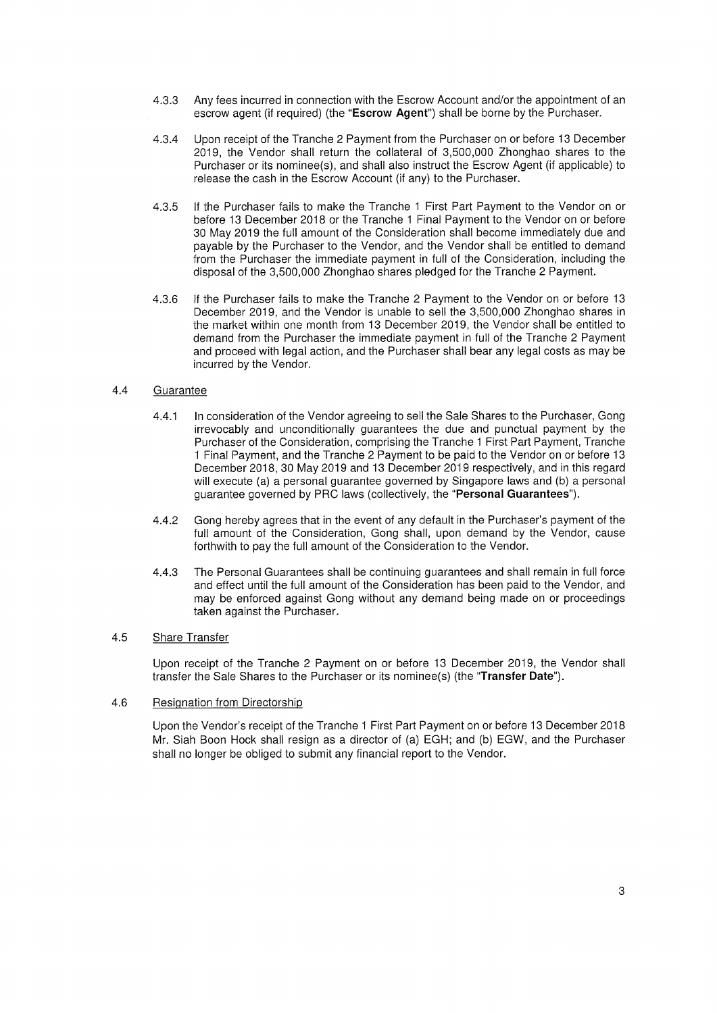- 43.3 Any fees incurred in connection with the Escrow Account and/or the appointment of an escrow agent (if required) (the "Escrow Agent") shall be borne by the Purchaser.
- 43.4 Upon receipt of the Tranche 2 Payment from the Purchaser on or before 13 December 2019, the Vendor shall return the collateral of 3,500,000 Zhonghao shares to the Purchaser or its nominee(s), and shall also instruct the Escrow Agent (if applicable) to release the cash in the Escrow Account (if any) to the Purchaser.
- 43.5 If the Purchaser fails to make the Tranche I First Part Payment to the Vendor on or before 13 December 2018 or the Tranche I Final Payment to the Vendor on or before 30 May 2019 the full amount of the Consideration shall become immediately due and payable by the Purchaser to the Vendor, and the Vendor shall be entitled to demand from the Purchaser the immediate payment in full of the Consideration, including the disposal of the 3,500,000 Zhonghao shares pledged for the Tranche 2 Payment.
- 4.36 If the Purchaser fails to make the Tranche 2 Payment to the Vendor on or before 13 December 2019, and the Vendor is unable to sell the 3,500,000 Zhonghao shares in the market within one month from 13 December 2019, the Vendor shall be entitled to demand from the Purchaser the immediate payment in full of the Tranche 2 Payment and proceed with legal action, and the Purchaser shall bear any legal costs as may be incurred by the Vendor

### 4.4 Guarantee

- In consideration of the Vendor agreeing to sell the Sale Shares to the Purchaser, Gong irrevocably and unconditionally guarantees the due and punctual payment by the Purchaser of the Consideration, comprising the Tranche I First Part Payment, Tranche I Final Payment, and the Tranche 2 Payment to be paid to the Vendor on or before 13 December 2018,30 May 2019 and 13 December 2019 respectively, and in this regard will execute (a) a personal guarantee governed by Singapore laws and (b) a personal guarantee governed by PRC laws (collectively, the "Personal Guarantees"). 4.41
- 44.2 Gong hereby agrees that in the event of any default in the Purchaser's payment of the full amount of the Consideration, Gong shall, upon demand by the Vendor, cause forthwith to pay the full amount of the Consideration to the Vendor.
- 4.43 The Personal Guarantees shall be continuing guarantees and shall remain in full force and effect until the full amount of the Consideration has been paid to the Vendor, and may be enforced against Gong without any demand being made on or proceedings taken against the Purchaser.

#### Share Transfer 4.5

Upon receipt of the Tranche 2 Payment on or before 13 December 2019, the Vendor shall transfer the Sale Shares to the Purchaser or its nominee(s) (the "Transfer Date").

#### 4.6 Resignation from Directorship

Upon the Vendor's receipt of the Tranche I First Part Payment on or before 13 December 2018 Mr. Siah Boon Hock shall resign as a director of (a) EGH; and (b) EGW, and the Purchaser shall no longer be obliged to submit any financial report to the Vendor.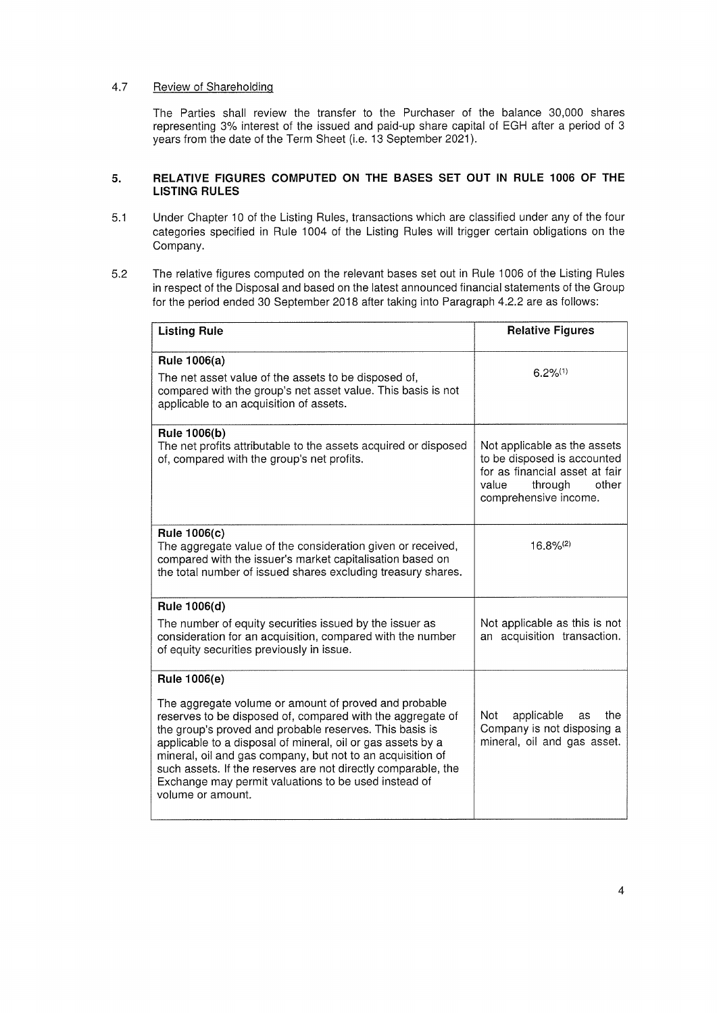# 4.7 Review of Shareholding

The Parties shall review the transfer to the Purchaser of the balance 30,000 shares representing 3% interest of the issued and paid-up share capital of EGH after a period of 3 years from the date of the Term Sheet (i.e. 13 September 2021).

### 5. RELATIVE FIGURES COMPUTED ON THE BASES SET OUT IN RULE 1006 OF THE LISTING RULES

- 5.1 Under Chapter 10 of the Listing Rules, transactions which are classified under any of the four categories specified in Rule 1004 of the Listing Rules will trigger certain obligations on the Company.
- 5.2 The relative figures computed on the relevant bases set out in Rule 1006 of the Listing Rules in respect of the Disposal and based on the latest announced financial statements of the Group for the period ended 30 September 2018 after taking into Paragraph 4.22 are as follows:

| <b>Listing Rule</b>                                                                                                                                                                                                                                                                                                                                                                                                                                       | <b>Relative Figures</b>                                                                                                                             |
|-----------------------------------------------------------------------------------------------------------------------------------------------------------------------------------------------------------------------------------------------------------------------------------------------------------------------------------------------------------------------------------------------------------------------------------------------------------|-----------------------------------------------------------------------------------------------------------------------------------------------------|
| Rule 1006(a)<br>The net asset value of the assets to be disposed of,<br>compared with the group's net asset value. This basis is not<br>applicable to an acquisition of assets.                                                                                                                                                                                                                                                                           | $6.2\%^{(1)}$                                                                                                                                       |
| Rule 1006(b)<br>The net profits attributable to the assets acquired or disposed<br>of, compared with the group's net profits.                                                                                                                                                                                                                                                                                                                             | Not applicable as the assets<br>to be disposed is accounted<br>for as financial asset at fair<br>through<br>value<br>other<br>comprehensive income. |
| Rule 1006(c)<br>The aggregate value of the consideration given or received,<br>compared with the issuer's market capitalisation based on<br>the total number of issued shares excluding treasury shares.                                                                                                                                                                                                                                                  | $16.8\%^{(2)}$                                                                                                                                      |
| Rule 1006(d)<br>The number of equity securities issued by the issuer as<br>consideration for an acquisition, compared with the number<br>of equity securities previously in issue.                                                                                                                                                                                                                                                                        | Not applicable as this is not<br>an acquisition transaction.                                                                                        |
| Rule 1006(e)                                                                                                                                                                                                                                                                                                                                                                                                                                              |                                                                                                                                                     |
| The aggregate volume or amount of proved and probable<br>reserves to be disposed of, compared with the aggregate of<br>the group's proved and probable reserves. This basis is<br>applicable to a disposal of mineral, oil or gas assets by a<br>mineral, oil and gas company, but not to an acquisition of<br>such assets. If the reserves are not directly comparable, the<br>Exchange may permit valuations to be used instead of<br>volume or amount. | applicable<br>Not<br>the<br>as<br>Company is not disposing a<br>mineral, oil and gas asset.                                                         |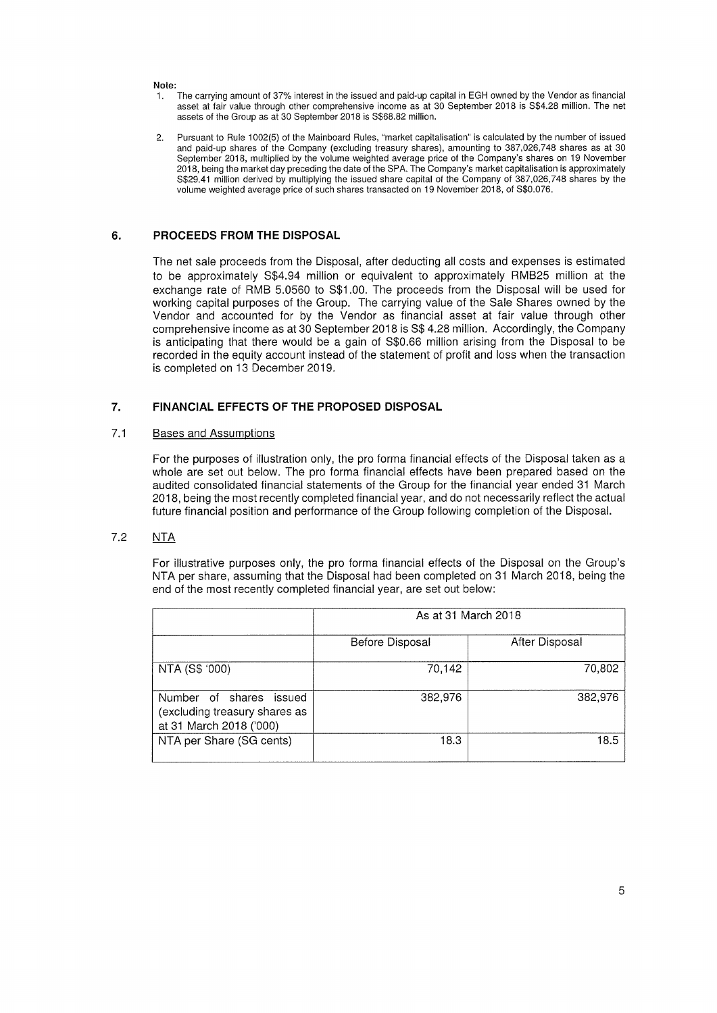### Note

- I. The carrying amount of 377. interest in the issued and paid-up capital in EGH owned by the Vendor as financial asset at fair value through other comprehensive income as at 30 September 2018 is S\$4.28 million. The net assets of the Group as at 30 September 2018 is S\$68.82 million.
- 2. Pursuant to Rule 1002(5) of the Mainboard Rules, "market capitalisation" is calculated by the number of issued and paid-up shares of the Company (excluding treasury shares), amounting to 387,026,748 shares as at 30 September 2018. multiplied by the volume weighted average price of the Company's shares on 19 November 2018, being the market day preceding the date of the SPA. The Company's market capitalisation is approximately S\$29.41 million derived by multiplying the issued share capital of the Company of 387,026,748 shares by the volume weighted average price of such shares transacted on 19 November 2018, of S\$0,076

## 6. PROCEEDS FROM THE DISPOSAL

The net sale proceeds from the Disposal, after deducting all costs and expenses is estimated to be approximately S\$4.94 million or equivalent to approximately RMB25 million at the exchange rate of RMB 5,0560 to S\$1,00. The proceeds from the Disposal will be used for working capital purposes of the Group. The carrying value of the Sale Shares owned by the Vendor and accounted for by the Vendor as financial asset at fair value through other comprehensive income as at 30 September 2018 is S\$ 4.28 million. Accordingly, the Company is anticipating that there would be a gain of S\$0.66 million arising from the Disposal to be recorded in the equity account instead of the statement of profit and loss when the transaction is completed on 13 December 2019.

#### 7. FINANCIAL EFFECTS OF THE PROPOSED DISPOSAL

#### 7.1 Bases and Assumptions

For the purposes of illustration only, the pro forma financial effects of the Disposal taken as a whole are set out below. The pro forma financial effects have been prepared based on the audited consolidated financial statements of the Group for the financial year ended 31 March 2018, being the most recently completed financial year, and do not necessarily reflect the actual future financial position and performance of the Group following completion of the Disposal.

### 7.2 NTA

For illustrative purposes only, the pro forma financial effects of the Disposal on the Group's NTA per share, assuming that the Disposal had been completed on 31 March 2018, being the end of the most recently completed financial year, are set out below:

|                                                                                     | As at 31 March 2018 |                |  |
|-------------------------------------------------------------------------------------|---------------------|----------------|--|
|                                                                                     | Before Disposal     | After Disposal |  |
| NTA (S\$ '000)                                                                      | 70,142              | 70,802         |  |
| Number of shares issued<br>(excluding treasury shares as<br>at 31 March 2018 ('000) | 382,976             | 382,976        |  |
| NTA per Share (SG cents)                                                            | 18.3                | 18.5           |  |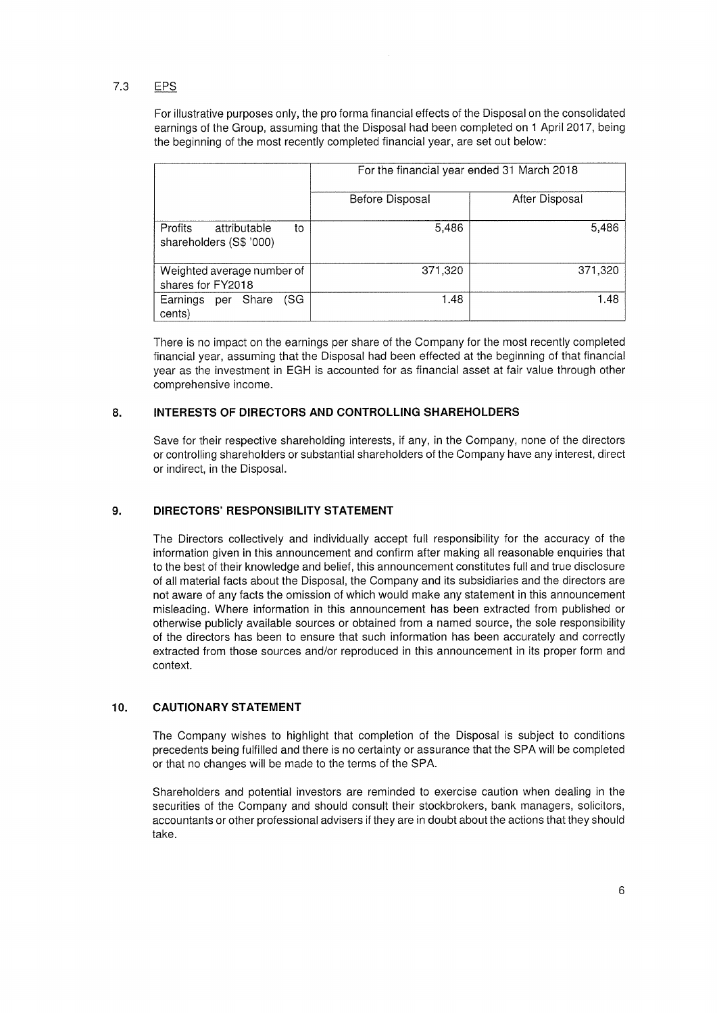# 7.3 EPS

For Illustrative purposes only, the pro forma financial effects of the Disposal on the consolidated earnings of the Group, assuming that the Disposal had been completed on 1 April 2017, being the beginning of the most recently completed financial year, are set out below:

|                                                          | For the financial year ended 31 March 2018 |                |
|----------------------------------------------------------|--------------------------------------------|----------------|
|                                                          | Before Disposal                            | After Disposal |
| attributable<br>Profits<br>to<br>shareholders (S\$ '000) | 5,486                                      | 5,486          |
| Weighted average number of<br>shares for FY2018          | 371,320                                    | 371,320        |
| Earnings<br>per Share<br>(SG<br>cents)                   | 1.48                                       | 1.48           |

There is no impact on the earnings per share of the Company for the most recently completed financial year, assuming that the Disposal had been effected at the beginning of that financial year as the investment in EGH is accounted for as financial asset at fair value through other comprehensive income.

#### INTERESTS OF DIRECTORS AND CONTROLLING SHAREHOLDERS 8.

Save for their respective shareholding interests, if any, in the Company, none of the directors or controlling shareholders or substantial shareholders of the Company have any interest, direct or indirect, in the Disposal.

#### 9. DIRECTORS' RESPONSIBILITY STATEMENT

The Directors collectively and individually accept full responsibility for the accuracy of the information given in this announcement and confirm after making all reasonable enquiries that to the best of their knowledge and belief, this announcement constitutes full and true disclosure of all material facts about the Disposal, the Company and its subsidiaries and the directors are not aware of any facts the omission of which would make any statement in this announcement misleading. Where information in this announcement has been extracted from published or otherwise publicly available sources or obtained from a named source, the sole responsibility of the directors has been to ensure that such information has been accurately and correctly extracted from those sources and/or reproduced in this announcement in its proper form and context.

#### IO. CAUTIONARY STATEMENT

The Company wishes to highlight that completion of the Disposal is subject to conditions precedents being fulfilled and there is no certainty or assurance that the SPA will be completed or that no changes will be made to the terms of the SPA

Shareholders and potential investors are reminded to exercise caution when dealing in the securities of the Company and should consult their stockbrokers, bank managers, solicitors, accountants or other professional advisers if they are in doubt about the actions that they should take.